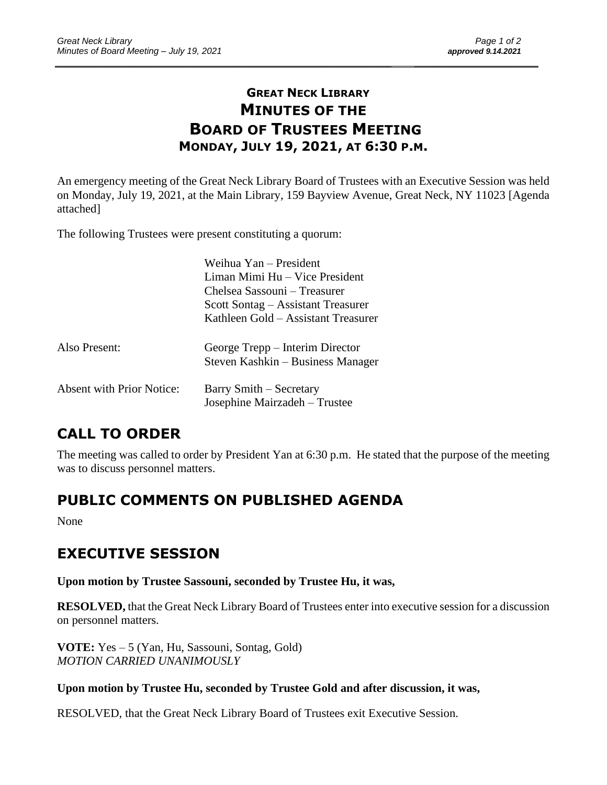# **GREAT NECK LIBRARY MINUTES OF THE BOARD OF TRUSTEES MEETING MONDAY, JULY 19, 2021, AT 6:30 P.M.**

\_\_\_\_\_\_\_\_\_\_\_\_\_\_\_\_\_\_\_\_\_\_\_\_\_\_\_\_\_\_\_\_\_\_\_\_\_\_\_\_\_\_\_\_\_\_\_\_\_\_\_\_\_\_\_\_\_\_\_\_\_\_\_\_\_\_\_\_ \_\_\_\_\_\_\_\_\_\_\_\_\_\_\_\_\_\_\_\_\_\_\_\_\_

An emergency meeting of the Great Neck Library Board of Trustees with an Executive Session was held on Monday, July 19, 2021, at the Main Library, 159 Bayview Avenue, Great Neck, NY 11023 [Agenda attached]

The following Trustees were present constituting a quorum:

|                                  | Weihua Yan – President              |
|----------------------------------|-------------------------------------|
|                                  | Liman Mimi Hu – Vice President      |
|                                  | Chelsea Sassouni – Treasurer        |
|                                  | Scott Sontag – Assistant Treasurer  |
|                                  | Kathleen Gold – Assistant Treasurer |
|                                  |                                     |
| Also Present:                    | George Trepp – Interim Director     |
|                                  | Steven Kashkin – Business Manager   |
| <b>Absent with Prior Notice:</b> | Barry Smith – Secretary             |
|                                  |                                     |
|                                  | Josephine Mairzadeh - Trustee       |

# **CALL TO ORDER**

The meeting was called to order by President Yan at 6:30 p.m. He stated that the purpose of the meeting was to discuss personnel matters.

# **PUBLIC COMMENTS ON PUBLISHED AGENDA**

None

# **EXECUTIVE SESSION**

**Upon motion by Trustee Sassouni, seconded by Trustee Hu, it was,**

**RESOLVED,** that the Great Neck Library Board of Trustees enter into executive session for a discussion on personnel matters.

**VOTE:** Yes – 5 (Yan, Hu, Sassouni, Sontag, Gold) *MOTION CARRIED UNANIMOUSLY* 

#### **Upon motion by Trustee Hu, seconded by Trustee Gold and after discussion, it was,**

RESOLVED, that the Great Neck Library Board of Trustees exit Executive Session.